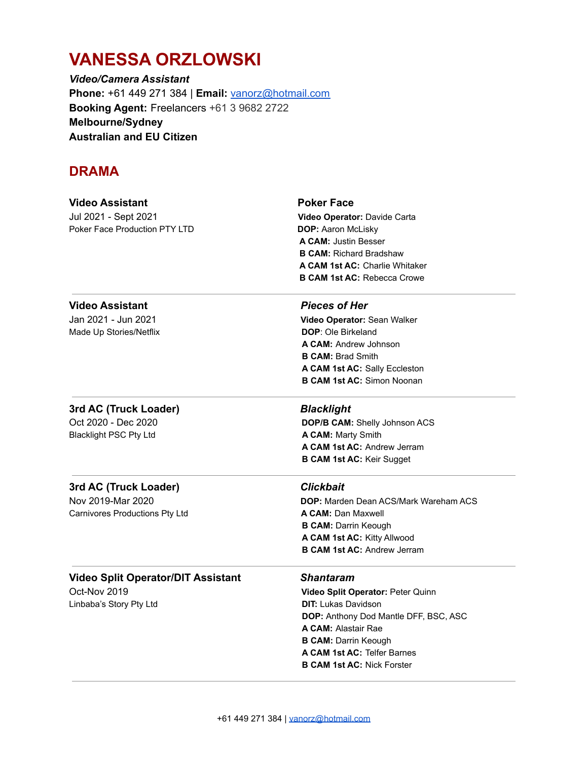# **VANESSA ORZLOWSKI**

*Video/Camera Assistant* **Phone:** +61 449 271 384 | **Email:** [vanorz@hotmail.com](mailto:vanorz@hotmail.com) **Booking Agent:** Freelancers +61 3 9682 2722 **Melbourne/Sydney Australian and EU Citizen**

### **DRAMA**

| <b>Video Assistant</b><br>Jul 2021 - Sept 2021<br>Poker Face Production PTY LTD      | <b>Poker Face</b><br>Video Operator: Davide Carta<br>DOP: Aaron McLisky<br><b>A CAM: Justin Besser</b><br><b>B CAM: Richard Bradshaw</b><br><b>A CAM 1st AC: Charlie Whitaker</b><br><b>B CAM 1st AC: Rebecca Crowe</b>                                       |
|--------------------------------------------------------------------------------------|---------------------------------------------------------------------------------------------------------------------------------------------------------------------------------------------------------------------------------------------------------------|
| <b>Video Assistant</b><br>Jan 2021 - Jun 2021<br>Made Up Stories/Netflix             | <b>Pieces of Her</b><br>Video Operator: Sean Walker<br><b>DOP: Ole Birkeland</b><br><b>A CAM: Andrew Johnson</b><br><b>B CAM: Brad Smith</b><br>A CAM 1st AC: Sally Eccleston<br><b>B CAM 1st AC: Simon Noonan</b>                                            |
| 3rd AC (Truck Loader)<br>Oct 2020 - Dec 2020<br><b>Blacklight PSC Pty Ltd</b>        | <b>Blacklight</b><br>DOP/B CAM: Shelly Johnson ACS<br>A CAM: Marty Smith<br>A CAM 1st AC: Andrew Jerram<br><b>B CAM 1st AC: Keir Sugget</b>                                                                                                                   |
| 3rd AC (Truck Loader)<br>Nov 2019-Mar 2020<br>Carnivores Productions Pty Ltd         | <b>Clickbait</b><br><b>DOP:</b> Marden Dean ACS/Mark Wareham ACS<br><b>A CAM: Dan Maxwell</b><br><b>B CAM: Darrin Keough</b><br>A CAM 1st AC: Kitty Allwood<br><b>B CAM 1st AC: Andrew Jerram</b>                                                             |
| <b>Video Split Operator/DIT Assistant</b><br>Oct-Nov 2019<br>Linbaba's Story Pty Ltd | <b>Shantaram</b><br>Video Split Operator: Peter Quinn<br><b>DIT:</b> Lukas Davidson<br>DOP: Anthony Dod Mantle DFF, BSC, ASC<br><b>A CAM: Alastair Rae</b><br><b>B CAM: Darrin Keough</b><br>A CAM 1st AC: Telfer Barnes<br><b>B CAM 1st AC: Nick Forster</b> |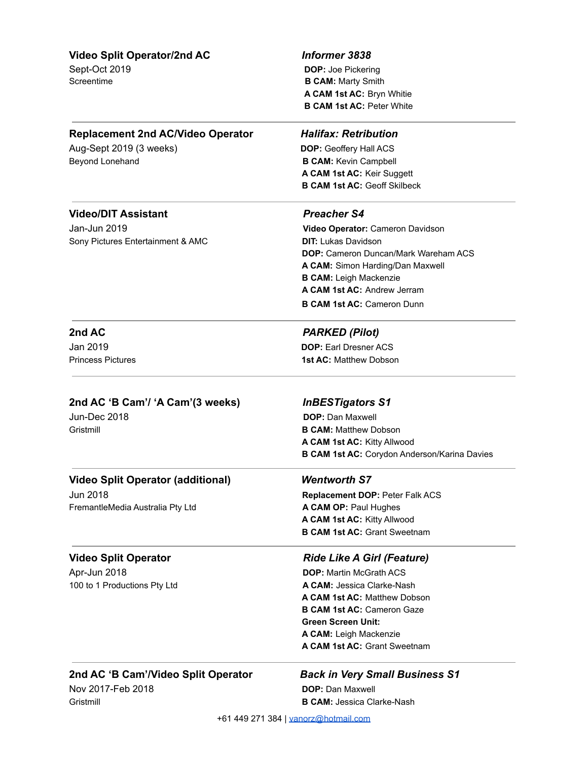### **Video Split Operator/2nd AC** *Informer 3838*

Sept-Oct 2019 **DOP:** Joe Pickering **B CAM:** Marty Smith **A CAM 1st AC:** Bryn Whitie **B CAM 1st AC:** Peter White

### **Replacement 2nd AC/Video Operator** *Halifax: Retribution*

Aug-Sept 2019 (3 weeks) **DOP:** Geoffery Hall ACS Beyond Lonehand **B CAM:** Kevin Campbell

**A CAM 1st AC:** Keir Suggett **B CAM 1st AC:** Geoff Skilbeck

### **Video/DIT Assistant** *Preacher S4*

Jan-Jun 2019 **Video Operator:** Cameron Davidson Sony Pictures Entertainment & AMC **DIT:** Lukas Davidson

**DOP:** Cameron Duncan/Mark Wareham ACS **A CAM:** Simon Harding/Dan Maxwell **B CAM:** Leigh Mackenzie **A CAM 1st AC:** Andrew Jerram **B CAM 1st AC:** Cameron Dunn

### **2nd AC** *PARKED (Pilot)*

Jan 2019 **DOP:** Earl Dresner ACS Princess Pictures **1st AC:** Matthew Dobson

### **2nd AC 'B Cam'/ 'A Cam'(3 weeks)** *InBESTigators S1*

Jun-Dec 2018 **DOP:** Dan Maxwell Gristmill **B CAM:** Matthew Dobson **A CAM 1st AC:** Kitty Allwood **B CAM 1st AC:** Corydon Anderson/Karina Davies

### **Video Split Operator (additional)** *Wentworth S7*

FremantleMedia Australia Pty Ltd **A CAM OP:** Paul Hughes

Apr-Jun 2018 **DOP:** Martin McGrath ACS

Jun 2018 **Replacement DOP:** Peter Falk ACS **A CAM 1st AC:** Kitty Allwood **B CAM 1st AC:** Grant Sweetnam

### **Video Split Operator** *Ride Like A Girl (Feature)*

100 to 1 Productions Pty Ltd **A CAM:** Jessica Clarke-Nash **A CAM 1st AC:** Matthew Dobson **B CAM 1st AC:** Cameron Gaze **Green Screen Unit: A CAM:** Leigh Mackenzie **A CAM 1st AC:** Grant Sweetnam

### **2nd AC 'B Cam'/Video Split Operator** *Back in Very Small Business S1*

Nov 2017-Feb 2018 **DOP:** Dan Maxwell

# Gristmill **B CAM:** Jessica Clarke-Nash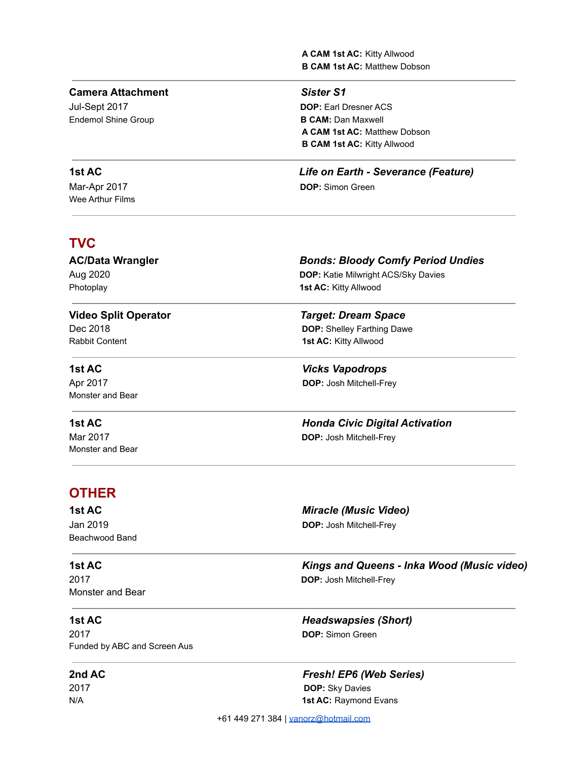**A CAM 1st AC:** Kitty Allwood **B CAM 1st AC:** Matthew Dobson

### **Camera Attachment** *Sister S1*

Endemol Shine Group **B CAM:** Dan Maxwell

Wee Arthur Films

### **TVC**

**Photoplay 1st AC:** Kitty Allwood

Monster and Bear

Monster and Bear

### **AC/Data Wrangler** *Bonds: Bloody Comfy Period Undies*

Aug 2020 **DOP:** Katie Milwright ACS/Sky Davies

# **Video Split Operator** *Target: Dream Space*

Dec 2018 **DOP:** Shelley Farthing Dawe Rabbit Content **1st AC:** Kitty Allwood

**1st AC** *Vicks Vapodrops* Apr 2017 **DOP:** Josh Mitchell-Frey

### **1st AC** *Honda Civic Digital Activation* Mar 2017 **DOP:** Josh Mitchell-Frey

### **OTHER**

### **1st AC** *Miracle (Music Video)*

Jan 2019 **DOP:** Josh Mitchell-Frey Beachwood Band

Monster and Bear

2017 **DOP:** Simon Green Funded by ABC and Screen Aus

**1st AC** *Kings and Queens - Inka Wood (Music video)* 2017 **DOP:** Josh Mitchell-Frey

**1st AC** *Headswapsies (Short)*

**2nd AC** *Fresh! EP6 (Web Series)* 2017 **DOP:** Sky Davies N/A **1st AC:** Raymond Evans

+61 449 271 384 | [vanorz@hotmail.com](mailto:vanorz@hotmail.com)

Jul-Sept 2017 **DOP:** Earl Dresner ACS **A CAM 1st AC:** Matthew Dobson **B CAM 1st AC:** Kitty Allwood

**1st AC** *Life on Earth - Severance (Feature)* Mar-Apr 2017 **DOP:** Simon Green